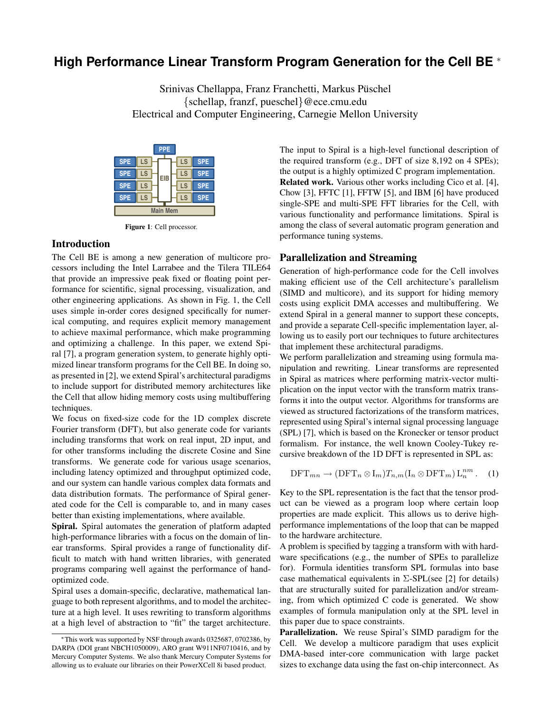# **High Performance Linear Transform Program Generation for the Cell BE** <sup>∗</sup>

Srinivas Chellappa, Franz Franchetti, Markus Püschel {schellap, franzf, pueschel}@ece.cmu.edu Electrical and Computer Engineering, Carnegie Mellon University



**Figure 1**: Cell processor.

# **Introduction**

The Cell BE is among a new generation of multicore processors including the Intel Larrabee and the Tilera TILE64 that provide an impressive peak fixed or floating point performance for scientific, signal processing, visualization, and other engineering applications. As shown in Fig. 1, the Cell uses simple in-order cores designed specifically for numerical computing, and requires explicit memory management to achieve maximal performance, which make programming and optimizing a challenge. In this paper, we extend Spiral [7], a program generation system, to generate highly optimized linear transform programs for the Cell BE. In doing so, as presented in [2], we extend Spiral's architectural paradigms to include support for distributed memory architectures like the Cell that allow hiding memory costs using multibuffering techniques.

We focus on fixed-size code for the 1D complex discrete Fourier transform (DFT), but also generate code for variants including transforms that work on real input, 2D input, and for other transforms including the discrete Cosine and Sine transforms. We generate code for various usage scenarios, including latency optimized and throughput optimized code, and our system can handle various complex data formats and data distribution formats. The performance of Spiral generated code for the Cell is comparable to, and in many cases better than existing implementations, where available.

**Spiral.** Spiral automates the generation of platform adapted high-performance libraries with a focus on the domain of linear transforms. Spiral provides a range of functionality difficult to match with hand written libraries, with generated programs comparing well against the performance of handoptimized code.

Spiral uses a domain-specific, declarative, mathematical language to both represent algorithms, and to model the architecture at a high level. It uses rewriting to transform algorithms at a high level of abstraction to "fit" the target architecture. The input to Spiral is a high-level functional description of the required transform (e.g., DFT of size 8,192 on 4 SPEs); the output is a highly optimized C program implementation. **Related work.** Various other works including Cico et al. [4], Chow [3], FFTC [1], FFTW [5], and IBM [6] have produced single-SPE and multi-SPE FFT libraries for the Cell, with various functionality and performance limitations. Spiral is among the class of several automatic program generation and performance tuning systems.

### **Parallelization and Streaming**

Generation of high-performance code for the Cell involves making efficient use of the Cell architecture's parallelism (SIMD and multicore), and its support for hiding memory costs using explicit DMA accesses and multibuffering. We extend Spiral in a general manner to support these concepts, and provide a separate Cell-specific implementation layer, allowing us to easily port our techniques to future architectures that implement these architectural paradigms.

We perform parallelization and streaming using formula manipulation and rewriting. Linear transforms are represented in Spiral as matrices where performing matrix-vector multiplication on the input vector with the transform matrix transforms it into the output vector. Algorithms for transforms are viewed as structured factorizations of the transform matrices, represented using Spiral's internal signal processing language (SPL) [7], which is based on the Kronecker or tensor product formalism. For instance, the well known Cooley-Tukey recursive breakdown of the 1D DFT is represented in SPL as:

$$
\text{DFT}_{mn} \to (\text{DFT}_n \otimes I_m) T_{n,m} (I_n \otimes \text{DFT}_m) L_n^{nm} . \quad (1)
$$

Key to the SPL representation is the fact that the tensor product can be viewed as a program loop where certain loop properties are made explicit. This allows us to derive highperformance implementations of the loop that can be mapped to the hardware architecture.

A problem is specified by tagging a transform with with hardware specifications (e.g., the number of SPEs to parallelize for). Formula identities transform SPL formulas into base case mathematical equivalents in  $\Sigma$ -SPL(see [2] for details) that are structurally suited for parallelization and/or streaming, from which optimized C code is generated. We show examples of formula manipulation only at the SPL level in this paper due to space constraints.

**Parallelization.** We reuse Spiral's SIMD paradigm for the Cell. We develop a multicore paradigm that uses explicit DMA-based inter-core communication with large packet sizes to exchange data using the fast on-chip interconnect. As

<sup>∗</sup>This work was supported by NSF through awards 0325687, 0702386, by DARPA (DOI grant NBCH1050009), ARO grant W911NF0710416, and by Mercury Computer Systems. We also thank Mercury Computer Systems for allowing us to evaluate our libraries on their PowerXCell 8i based product.